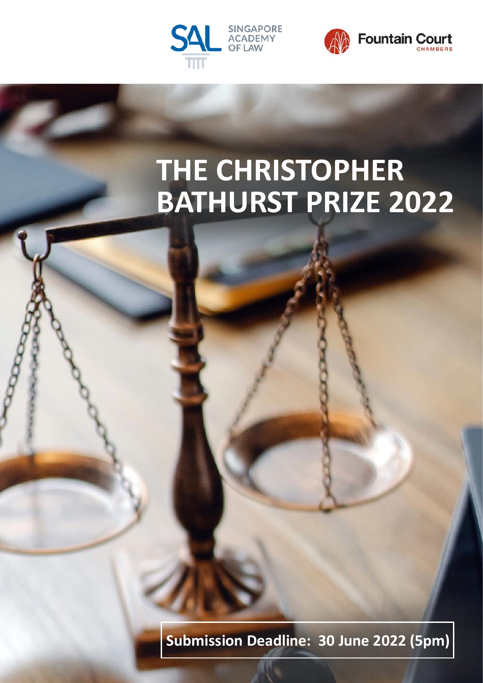



# **THE CHRISTOPHER BATHURST PRIZE 2022**

**Submission Deadline: 30 June 2022 (5pm)**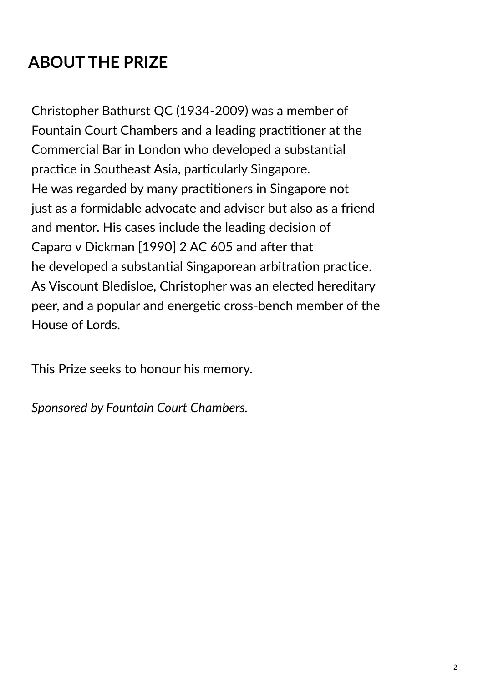## **ABOUT THE PRIZE**

Christopher Bathurst QC (1934-2009) was a member of Fountain Court Chambers and a leading practitioner at the Commercial Bar in London who developed a substantial practice in Southeast Asia, particularly Singapore. He was regarded by many practitioners in Singapore not just as a formidable advocate and adviser but also as a friend and mentor. His cases include the leading decision of Caparo v Dickman [1990] 2 AC 605 and after that he developed a substantial Singaporean arbitration practice. As Viscount Bledisloe, Christopher was an elected hereditary peer, and a popular and energetic cross-bench member of the House of Lords.

This Prize seeks to honour his memory.

*Sponsored by Fountain Court Chambers.*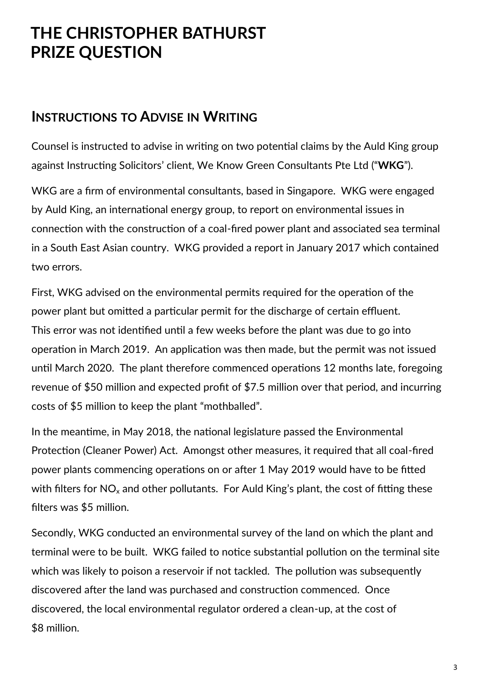## **THE CHRISTOPHER BATHURST PRIZE QUESTION**

#### **INSTRUCTIONS TO ADVISE IN WRITING**

Counsel is instructed to advise in writing on two potential claims by the Auld King group against Instructing Solicitors' client, We Know Green Consultants Pte Ltd ("**WKG**").

WKG are a firm of environmental consultants, based in Singapore. WKG were engaged by Auld King, an international energy group, to report on environmental issues in connection with the construction of a coal-fired power plant and associated sea terminal in a South East Asian country. WKG provided a report in January 2017 which contained two errors.

First, WKG advised on the environmental permits required for the operation of the power plant but omitted a particular permit for the discharge of certain effluent. This error was not identified until a few weeks before the plant was due to go into operation in March 2019. An application was then made, but the permit was not issued until March 2020. The plant therefore commenced operations 12 months late, foregoing revenue of \$50 million and expected profit of \$7.5 million over that period, and incurring costs of \$5 million to keep the plant "mothballed".

In the meantime, in May 2018, the national legislature passed the Environmental Protection (Cleaner Power) Act. Amongst other measures, it required that all coal-fired power plants commencing operations on or after 1 May 2019 would have to be fitted with filters for  $NO<sub>x</sub>$  and other pollutants. For Auld King's plant, the cost of fitting these filters was \$5 million.

Secondly, WKG conducted an environmental survey of the land on which the plant and terminal were to be built. WKG failed to notice substantial pollution on the terminal site which was likely to poison a reservoir if not tackled. The pollution was subsequently discovered after the land was purchased and construction commenced. Once discovered, the local environmental regulator ordered a clean-up, at the cost of \$8 million.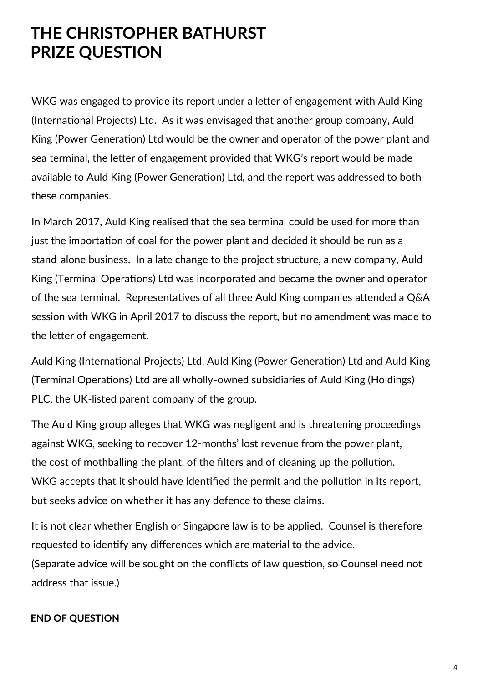## **THE CHRISTOPHER BATHURST PRIZE QUESTION**

WKG was engaged to provide its report under a letter of engagement with Auld King (International Projects) Ltd. As it was envisaged that another group company, Auld King (Power Generation) Ltd would be the owner and operator of the power plant and sea terminal, the letter of engagement provided that WKG's report would be made available to Auld King (Power Generation) Ltd, and the report was addressed to both these companies.

In March 2017, Auld King realised that the sea terminal could be used for more than just the importation of coal for the power plant and decided it should be run as a stand-alone business. In a late change to the project structure, a new company, Auld King (Terminal Operations) Ltd was incorporated and became the owner and operator of the sea terminal. Representatives of all three Auld King companies attended a Q&A session with WKG in April 2017 to discuss the report, but no amendment was made to the letter of engagement.

Auld King (International Projects) Ltd, Auld King (Power Generation) Ltd and Auld King (Terminal Operations) Ltd are all wholly-owned subsidiaries of Auld King (Holdings) PLC, the UK-listed parent company of the group.

The Auld King group alleges that WKG was negligent and is threatening proceedings against WKG, seeking to recover 12-months' lost revenue from the power plant, the cost of mothballing the plant, of the filters and of cleaning up the pollution. WKG accepts that it should have identified the permit and the pollution in its report, but seeks advice on whether it has any defence to these claims.

It is not clear whether English or Singapore law is to be applied. Counsel is therefore requested to identify any differences which are material to the advice. (Separate advice will be sought on the conflicts of law question, so Counsel need not address that issue.)

#### **END OF QUESTION**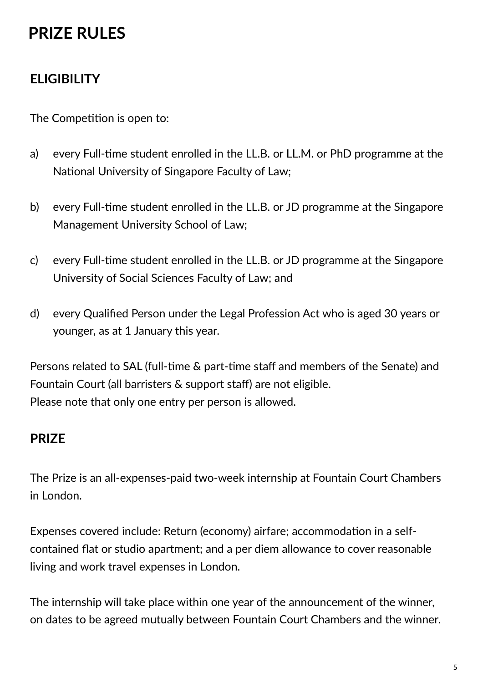## **PRIZE RULES**

### **ELIGIBILITY**

The Competition is open to:

- a) every Full-time student enrolled in the LL.B. or LL.M. or PhD programme at the National University of Singapore Faculty of Law;
- b) every Full-time student enrolled in the LL.B. or JD programme at the Singapore Management University School of Law;
- c) every Full-time student enrolled in the LL.B. or JD programme at the Singapore University of Social Sciences Faculty of Law; and
- d) every Qualified Person under the Legal Profession Act who is aged 30 years or younger, as at 1 January this year.

Persons related to SAL (full-time & part-time staff and members of the Senate) and Fountain Court (all barristers & support staff) are not eligible. Please note that only one entry per person is allowed.

#### **PRIZE**

The Prize is an all-expenses-paid two-week internship at Fountain Court Chambers in London.

Expenses covered include: Return (economy) airfare; accommodation in a selfcontained flat or studio apartment; and a per diem allowance to cover reasonable living and work travel expenses in London.

The internship will take place within one year of the announcement of the winner, on dates to be agreed mutually between Fountain Court Chambers and the winner.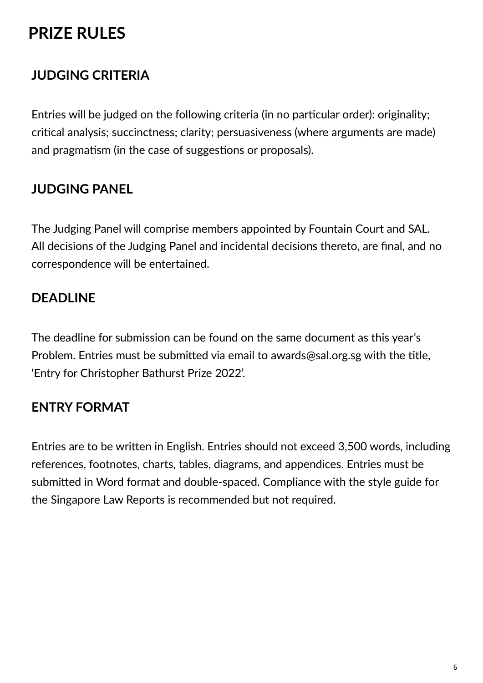## **PRIZE RULES**

### **JUDGING CRITERIA**

Entries will be judged on the following criteria (in no particular order): originality; critical analysis; succinctness; clarity; persuasiveness (where arguments are made) and pragmatism (in the case of suggestions or proposals).

#### **JUDGING PANEL**

The Judging Panel will comprise members appointed by Fountain Court and SAL. All decisions of the Judging Panel and incidental decisions thereto, are final, and no correspondence will be entertained.

### **DEADLINE**

The deadline for submission can be found on the same document as this year's Problem. Entries must be submitted via email to awards@sal.org.sg with the title, 'Entry for Christopher Bathurst Prize 2022'.

#### **ENTRY FORMAT**

Entries are to be written in English. Entries should not exceed 3,500 words, including references, footnotes, charts, tables, diagrams, and appendices. Entries must be submitted in Word format and double-spaced. Compliance with the style guide for the Singapore Law Reports is recommended but not required.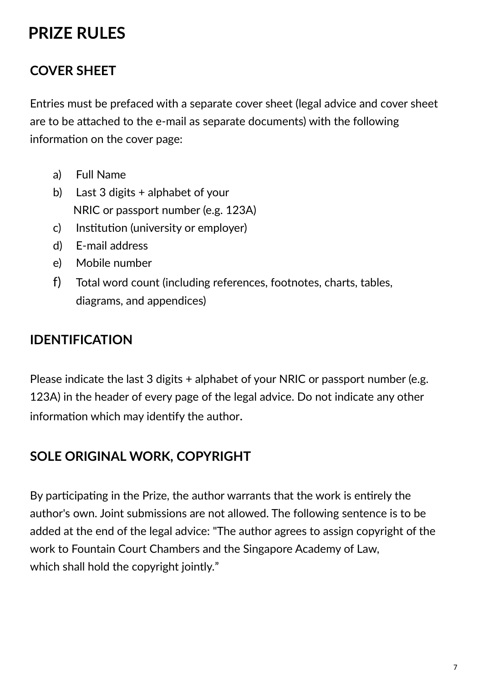## **PRIZE RULES**

#### **COVER SHEET**

Entries must be prefaced with a separate cover sheet (legal advice and cover sheet are to be attached to the e-mail as separate documents) with the following information on the cover page:

- a) Full Name
- b) Last 3 digits + alphabet of your NRIC or passport number (e.g. 123A)
- c) Institution (university or employer)
- d) E-mail address
- e) Mobile number
- f) Total word count (including references, footnotes, charts, tables, diagrams, and appendices)

#### **IDENTIFICATION**

Please indicate the last 3 digits + alphabet of your NRIC or passport number (e.g. 123A) in the header of every page of the legal advice. Do not indicate any other information which may identify the author.

#### **SOLE ORIGINAL WORK, COPYRIGHT**

By participating in the Prize, the author warrants that the work is entirely the author's own. Joint submissions are not allowed. The following sentence is to be added at the end of the legal advice: "The author agrees to assign copyright of the work to Fountain Court Chambers and the Singapore Academy of Law, which shall hold the copyright jointly."